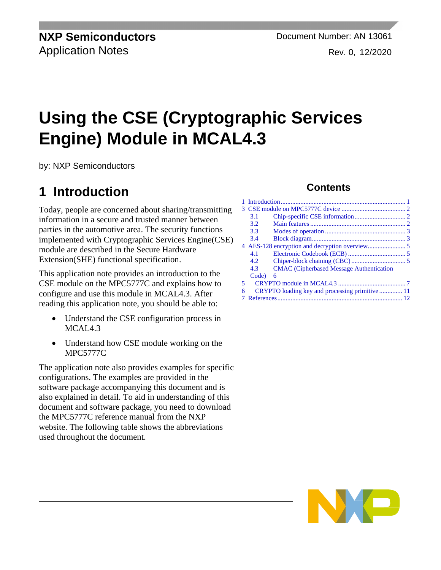**NXP Semiconductors** Document Number: AN 13061 Application Notes **Rev. 0, 12/2020** 

# **Using the CSE (Cryptographic Services Engine) Module in MCAL4.3**

by: NXP Semiconductors

# <span id="page-0-0"></span>**1 Introduction**

Today, people are concerned about sharing/transmitting information in a secure and trusted manner between parties in the automotive area. The security functions implemented with Cryptographic Services Engine(CSE) module are described in the Secure Hardware Extension(SHE) functional specification.

This application note provides an introduction to the CSE module on the MPC5777C and explains how to configure and use this module in MCAL4.3. After reading this application note, you should be able to:

- Understand the CSE configuration process in MCAL4.3
- Understand how CSE module working on the MPC5777C

The application note also provides examples for specific configurations. The examples are provided in the software package accompanying this document and is also explained in detail. To aid in understanding of this document and software package, you need to download the MPC5777C reference manual from the NXP website. The following table shows the abbreviations used throughout the document.

#### **Contents**

|   | 3.1   |                                                 |  |  |
|---|-------|-------------------------------------------------|--|--|
|   | 3.2   |                                                 |  |  |
|   | 3.3   |                                                 |  |  |
|   | 3.4   |                                                 |  |  |
|   |       |                                                 |  |  |
|   | 4.1   |                                                 |  |  |
|   | 4.2.  |                                                 |  |  |
|   | 4.3   | <b>CMAC</b> (Cipherbased Message Authentication |  |  |
|   | Code) | 6                                               |  |  |
| 5 |       |                                                 |  |  |
| 6 |       | CRYPTO loading key and processing primitive  11 |  |  |
|   |       |                                                 |  |  |

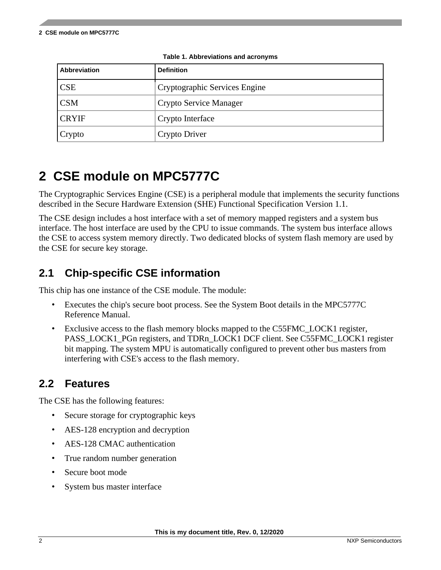| <b>Abbreviation</b> | <b>Definition</b>             |
|---------------------|-------------------------------|
| <b>CSE</b>          | Cryptographic Services Engine |
| <b>CSM</b>          | Crypto Service Manager        |
| <b>CRYIF</b>        | Crypto Interface              |
| Crypto              | Crypto Driver                 |

**Table 1. Abbreviations and acronyms**

# <span id="page-1-0"></span>**2 CSE module on MPC5777C**

The Cryptographic Services Engine (CSE) is a peripheral module that implements the security functions described in the Secure Hardware Extension (SHE) Functional Specification Version 1.1.

The CSE design includes a host interface with a set of memory mapped registers and a system bus interface. The host interface are used by the CPU to issue commands. The system bus interface allows the CSE to access system memory directly. Two dedicated blocks of system flash memory are used by the CSE for secure key storage.

#### <span id="page-1-1"></span>**2.1 Chip-specific CSE information**

This chip has one instance of the CSE module. The module:

- Executes the chip's secure boot process. See the System Boot details in the MPC5777C Reference Manual.
- Exclusive access to the flash memory blocks mapped to the C55FMC\_LOCK1 register, PASS\_LOCK1\_PGn registers, and TDRn\_LOCK1 DCF client. See C55FMC\_LOCK1 register bit mapping. The system MPU is automatically configured to prevent other bus masters from interfering with CSE's access to the flash memory.

#### <span id="page-1-2"></span>**2.2 Features**

The CSE has the following features:

- Secure storage for cryptographic keys
- AES-128 encryption and decryption
- AES-128 CMAC authentication
- True random number generation
- Secure boot mode
- System bus master interface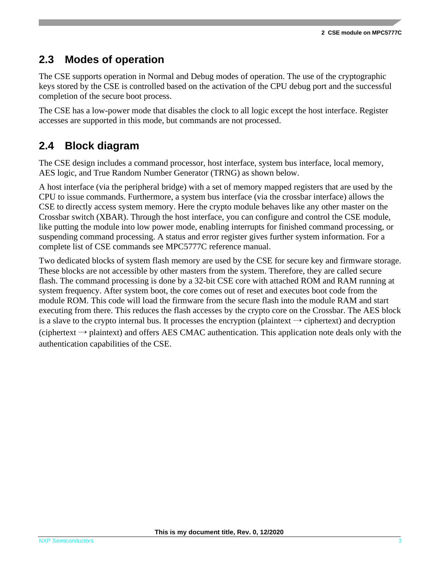#### <span id="page-2-0"></span>**2.3 Modes of operation**

The CSE supports operation in Normal and Debug modes of operation. The use of the cryptographic keys stored by the CSE is controlled based on the activation of the CPU debug port and the successful completion of the secure boot process.

The CSE has a low-power mode that disables the clock to all logic except the host interface. Register accesses are supported in this mode, but commands are not processed.

#### <span id="page-2-1"></span>**2.4 Block diagram**

The CSE design includes a command processor, host interface, system bus interface, local memory, AES logic, and True Random Number Generator (TRNG) as shown below.

A host interface (via the peripheral bridge) with a set of memory mapped registers that are used by the CPU to issue commands. Furthermore, a system bus interface (via the crossbar interface) allows the CSE to directly access system memory. Here the crypto module behaves like any other master on the Crossbar switch (XBAR). Through the host interface, you can configure and control the CSE module, like putting the module into low power mode, enabling interrupts for finished command processing, or suspending command processing. A status and error register gives further system information. For a complete list of CSE commands see MPC5777C reference manual.

Two dedicated blocks of system flash memory are used by the CSE for secure key and firmware storage. These blocks are not accessible by other masters from the system. Therefore, they are called secure flash. The command processing is done by a 32-bit CSE core with attached ROM and RAM running at system frequency. After system boot, the core comes out of reset and executes boot code from the module ROM. This code will load the firmware from the secure flash into the module RAM and start executing from there. This reduces the flash accesses by the crypto core on the Crossbar. The AES block is a slave to the crypto internal bus. It processes the encryption (plaintext  $\rightarrow$  ciphertext) and decryption (ciphertext  $\rightarrow$  plaintext) and offers AES CMAC authentication. This application note deals only with the authentication capabilities of the CSE.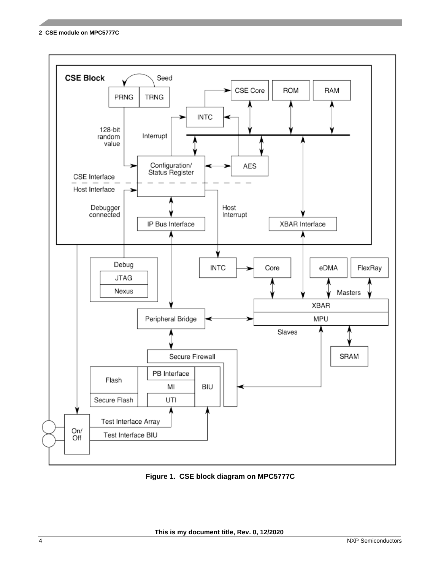**2 CSE module on MPC5777C**



**Figure 1. CSE block diagram on MPC5777C**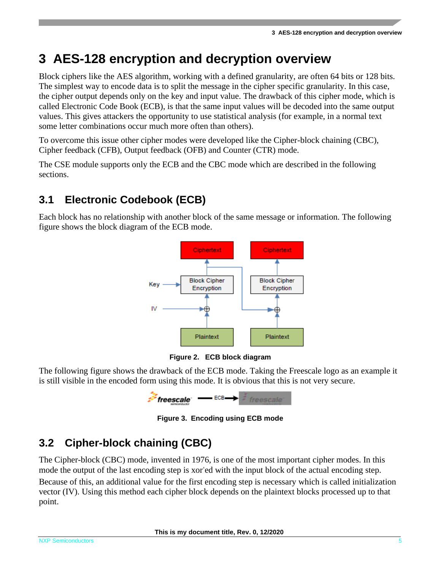### <span id="page-4-0"></span>**3 AES-128 encryption and decryption overview**

Block ciphers like the AES algorithm, working with a defined granularity, are often 64 bits or 128 bits. The simplest way to encode data is to split the message in the cipher specific granularity. In this case, the cipher output depends only on the key and input value. The drawback of this cipher mode, which is called Electronic Code Book (ECB), is that the same input values will be decoded into the same output values. This gives attackers the opportunity to use statistical analysis (for example, in a normal text some letter combinations occur much more often than others).

To overcome this issue other cipher modes were developed like the Cipher-block chaining (CBC), Cipher feedback (CFB), Output feedback (OFB) and Counter (CTR) mode.

The CSE module supports only the ECB and the CBC mode which are described in the following sections.

#### <span id="page-4-1"></span>**3.1 Electronic Codebook (ECB)**

Each block has no relationship with another block of the same message or information. The following figure shows the block diagram of the ECB mode.



**Figure 2. ECB block diagram**

The following figure shows the drawback of the ECB mode. Taking the Freescale logo as an example it is still visible in the encoded form using this mode. It is obvious that this is not very secure.



**Figure 3. Encoding using ECB mode**

#### <span id="page-4-2"></span>**3.2 Cipher-block chaining (CBC)**

The Cipher-block (CBC) mode, invented in 1976, is one of the most important cipher modes. In this mode the output of the last encoding step is xor'ed with the input block of the actual encoding step. Because of this, an additional value for the first encoding step is necessary which is called initialization vector (IV). Using this method each cipher block depends on the plaintext blocks processed up to that point.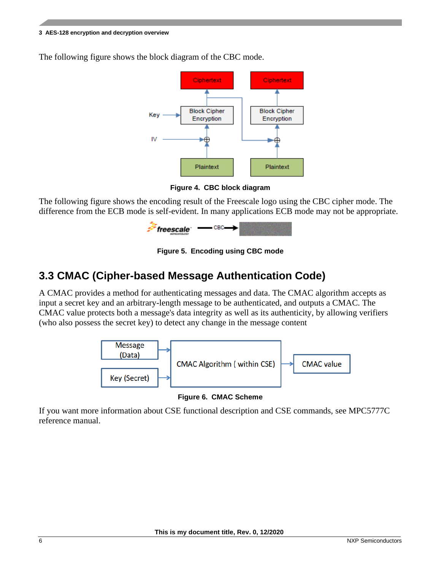#### **3 AES-128 encryption and decryption overview**

The following figure shows the block diagram of the CBC mode.



**Figure 4. CBC block diagram**

The following figure shows the encoding result of the Freescale logo using the CBC cipher mode. The difference from the ECB mode is self-evident. In many applications ECB mode may not be appropriate.



**Figure 5. Encoding using CBC mode**

#### <span id="page-5-0"></span>**3.3 CMAC (Cipher-based Message Authentication Code)**

A CMAC provides a method for authenticating messages and data. The CMAC algorithm accepts as input a secret key and an arbitrary-length message to be authenticated, and outputs a CMAC. The CMAC value protects both a message's data integrity as well as its authenticity, by allowing verifiers (who also possess the secret key) to detect any change in the message content



**Figure 6. CMAC Scheme**

If you want more information about CSE functional description and CSE commands, see MPC5777C reference manual.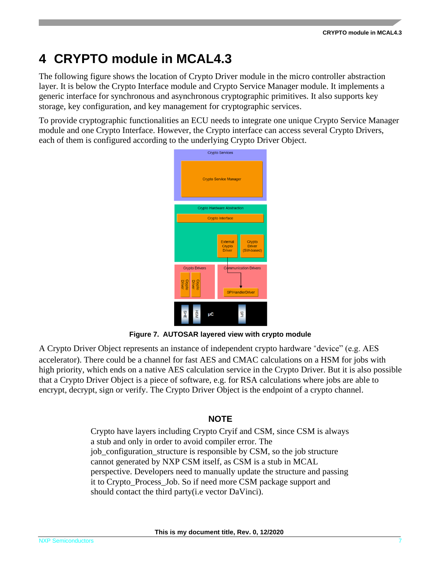## <span id="page-6-0"></span>**4 CRYPTO module in MCAL4.3**

The following figure shows the location of Crypto Driver module in the micro controller abstraction layer. It is below the Crypto Interface module and Crypto Service Manager module. It implements a generic interface for synchronous and asynchronous cryptographic primitives. It also supports key storage, key configuration, and key management for cryptographic services.

To provide cryptographic functionalities an ECU needs to integrate one unique Crypto Service Manager module and one Crypto Interface. However, the Crypto interface can access several Crypto Drivers, each of them is configured according to the underlying Crypto Driver Object.



**Figure 7. AUTOSAR layered view with crypto module**

A Crypto Driver Object represents an instance of independent crypto hardware "device" (e.g. AES accelerator). There could be a channel for fast AES and CMAC calculations on a HSM for jobs with high priority, which ends on a native AES calculation service in the Crypto Driver. But it is also possible that a Crypto Driver Object is a piece of software, e.g. for RSA calculations where jobs are able to encrypt, decrypt, sign or verify. The Crypto Driver Object is the endpoint of a crypto channel.

#### **NOTE**

Crypto have layers including Crypto Cryif and CSM, since CSM is always a stub and only in order to avoid compiler error. The job\_configuration\_structure is responsible by CSM, so the job structure cannot generated by NXP CSM itself, as CSM is a stub in MCAL perspective. Developers need to manually update the structure and passing it to Crypto\_Process\_Job. So if need more CSM package support and should contact the third party(i.e vector DaVinci).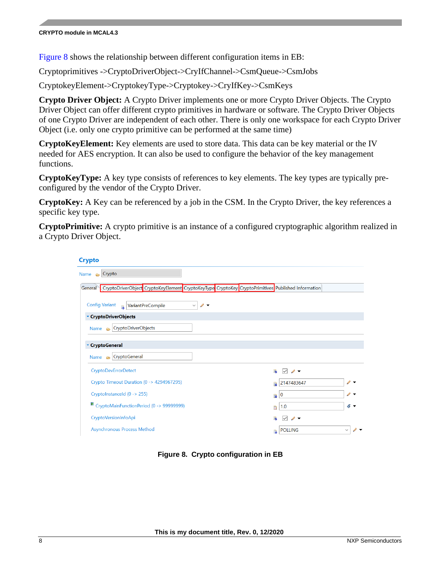#### **CRYPTO module in MCAL4.3**

[Figure](#page-7-0) 8 shows the relationship between different configuration items in EB:

Cryptoprimitives ->CryptoDriverObject->CryIfChannel->CsmQueue->CsmJobs

CryptokeyElement->CryptokeyType->Cryptokey->CryIfKey->CsmKeys

**Crypto Driver Object:** A Crypto Driver implements one or more Crypto Driver Objects. The Crypto Driver Object can offer different crypto primitives in hardware or software. The Crypto Driver Objects of one Crypto Driver are independent of each other. There is only one workspace for each Crypto Driver Object (i.e. only one crypto primitive can be performed at the same time)

**CryptoKeyElement:** Key elements are used to store data. This data can be key material or the IV needed for AES encryption. It can also be used to configure the behavior of the key management functions.

**CryptoKeyType:** A key type consists of references to key elements. The key types are typically preconfigured by the vendor of the Crypto Driver.

**CryptoKey:** A Key can be referenced by a job in the CSM. In the Crypto Driver, the key references a specific key type.

**CryptoPrimitive:** A crypto primitive is an instance of a configured cryptographic algorithm realized in a Crypto Driver Object.

| <b>Crypto</b>                                                                                              |                                        |  |                                                   |               |
|------------------------------------------------------------------------------------------------------------|----------------------------------------|--|---------------------------------------------------|---------------|
| Name $\bigcirc$ Crypto                                                                                     |                                        |  |                                                   |               |
| General CryptoDriverObject CryptoKeyElement CryptoKeyType CryptoKey CryptoPrimitives Published Information |                                        |  |                                                   |               |
| <b>Config Variant</b><br>VariantPreCompile<br>B                                                            | $\theta$ $\rightarrow$<br>$\checkmark$ |  |                                                   |               |
| ▼ CryptoDriverObjects                                                                                      |                                        |  |                                                   |               |
| Name $\bigcirc$ CryptoDriverObjects                                                                        |                                        |  |                                                   |               |
|                                                                                                            |                                        |  |                                                   |               |
| <b>CryptoGeneral</b>                                                                                       |                                        |  |                                                   |               |
| Name $\bigcirc$ CryptoGeneral                                                                              |                                        |  |                                                   |               |
| <b>CryptoDevErrorDetect</b>                                                                                |                                        |  | 函<br>$\mathscr{D}$ $\blacktriangledown$<br>$\sim$ |               |
| Crypto Timeout Duration (0 -> 4294967295)                                                                  |                                        |  | 2147483647<br>鶣                                   | $\mathscr{Q}$ |
| CryptoInstanceId (0 -> 255)                                                                                |                                        |  | 10<br>R                                           |               |
| <b>■</b> CryptoMainFunctionPeriod (0 -> 99999999)                                                          |                                        |  | 1.0<br>局                                          | ே ு           |
| CryptoVersionInfoApi                                                                                       |                                        |  | 隔<br>$\mathscr{D}$<br>$\vert \downarrow \vert$    |               |
| <b>Asynchronous Process Method</b>                                                                         |                                        |  | <b>POLLING</b><br>B                               | $\checkmark$  |

<span id="page-7-0"></span>**Figure 8. Crypto configuration in EB**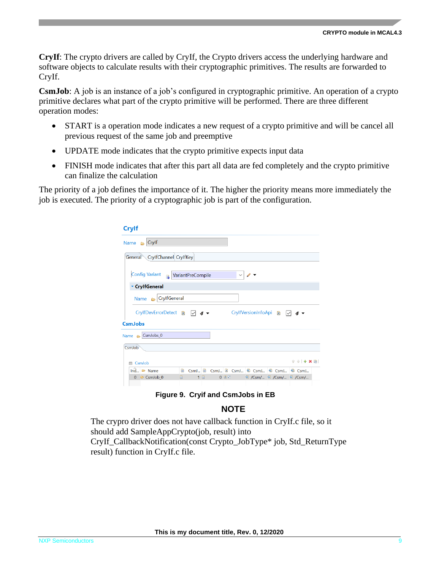**CryIf**: The crypto drivers are called by CryIf, the Crypto drivers access the underlying hardware and software objects to calculate results with their cryptographic primitives. The results are forwarded to CryIf.

**CsmJob**: A job is an instance of a job's configured in cryptographic primitive. An operation of a crypto primitive declares what part of the crypto primitive will be performed. There are three different operation modes:

- START is a operation mode indicates a new request of a crypto primitive and will be cancel all previous request of the same job and preemptive
- UPDATE mode indicates that the crypto primitive expects input data
- FINISH mode indicates that after this part all data are fed completely and the crypto primitive can finalize the calculation

The priority of a job defines the importance of it. The higher the priority means more immediately the job is executed. The priority of a cryptographic job is part of the configuration.

| <b>Crylf</b>                                                                                        |  |  |  |  |  |  |  |  |
|-----------------------------------------------------------------------------------------------------|--|--|--|--|--|--|--|--|
| Name $\bigcirc$ Crylf                                                                               |  |  |  |  |  |  |  |  |
| CrylfChannel CrylfKey<br>General                                                                    |  |  |  |  |  |  |  |  |
| <b>Config Variant</b><br><b>VariantPreCompile</b><br>$\checkmark$<br>$\mathbf{B}$                   |  |  |  |  |  |  |  |  |
| ▼ CrylfGeneral                                                                                      |  |  |  |  |  |  |  |  |
| Name B CrylfGeneral                                                                                 |  |  |  |  |  |  |  |  |
| <b>CrylfDevErrorDetect</b><br>CrylfVersionInfoApi<br>$\mathbf{x}$<br>$\mathbf{x}$<br>B              |  |  |  |  |  |  |  |  |
| <b>CsmJobs</b>                                                                                      |  |  |  |  |  |  |  |  |
| Name & CsmJobs_0                                                                                    |  |  |  |  |  |  |  |  |
| CsmJob                                                                                              |  |  |  |  |  |  |  |  |
| $\hat{\tau}$ $\theta$   $+$ X $\hat{p}$  <br>CsmJob<br>肩                                            |  |  |  |  |  |  |  |  |
| $\ln \hat{d}_{\dots}$ $\Leftrightarrow$ Name<br>Group CsmJ 2 CsmJ @ CsmJ @ CsmJ @ CsmJ<br>鶣<br>CsmJ |  |  |  |  |  |  |  |  |
| 1 园<br>$0 x \nightharpoonup$<br>圇<br><b>@ /Csm/ @ /Csm/ @ /Csm/</b><br>$0 \Leftrightarrow$ CsmJob 0 |  |  |  |  |  |  |  |  |
|                                                                                                     |  |  |  |  |  |  |  |  |

**Figure 9. Cryif and CsmJobs in EB**

#### **NOTE**

The crypro driver does not have callback function in CryIf.c file, so it should add SampleAppCrypto(job, result) into CryIf\_CallbackNotification(const Crypto\_JobType\* job, Std\_ReturnType result) function in CryIf.c file.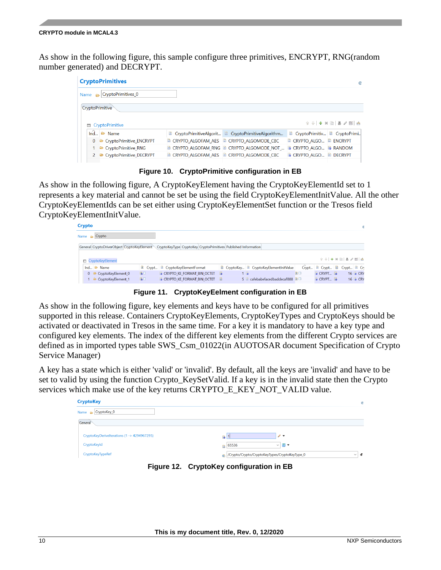As show in the following figure, this sample configure three primitives, ENCRYPT, RNG(random number generated) and DECRYPT.

| <b>CryptoPrimitives</b>              |  |                                                           |                                      | @                     |  |  |
|--------------------------------------|--|-----------------------------------------------------------|--------------------------------------|-----------------------|--|--|
| CryptoPrimitives_0<br>Name $\approx$ |  |                                                           |                                      |                       |  |  |
| CryptoPrimitive                      |  |                                                           |                                      |                       |  |  |
|                                      |  |                                                           |                                      | $f +   + x +   =  x $ |  |  |
| <b>■ CryptoPrimitive</b>             |  |                                                           |                                      |                       |  |  |
| $Ind \n\cong Name$                   |  | CryptoPrimitiveAlgorit <b>De</b> CryptoPrimitiveAlgorithm | CryptoPrimitiv <b>B</b> CryptoPrimi  |                       |  |  |
| 0 <b>E</b> CryptoPrimitive ENCRYPT   |  | CRYPTO_ALGOFAM_AES CRYPTO_ALGOMODE CBC                    | CRYPTO ALGO <b>B</b> ENCRYPT         |                       |  |  |
| 1 <b>E</b> CryptoPrimitive RNG       |  | <b>E CRYPTO ALGOFAM RNG E CRYPTO ALGOMODE NOT </b>        | <b>B</b> CRYPTO ALGO <b>B</b> RANDOM |                       |  |  |
| 2 CryptoPrimitive DECRYPT            |  | $\Box$ CRYPTO ALGOFAM AES $\Box$ CRYPTO ALGOMODE CBC      | <b>B CRYPTO ALGO DECRYPT</b>         |                       |  |  |
|                                      |  |                                                           |                                      |                       |  |  |

**Figure 10. CryptoPrimitive configuration in EB**

As show in the following figure, A CryptoKeyElement having the CryptoKeyElementId set to 1 represents a key material and cannot be set be using the field CryptoKeyElementInitValue. All the other CryptoKeyElementIds can be set either using CryptoKeyElementSet function or the Tresos field CryptoKeyElementInitValue.

| Crypto                                                                                                        |                                          |   |                                                |  |                                              |    |                                                     |                     | Œ                 |
|---------------------------------------------------------------------------------------------------------------|------------------------------------------|---|------------------------------------------------|--|----------------------------------------------|----|-----------------------------------------------------|---------------------|-------------------|
|                                                                                                               | Name $\approx$ Crypto                    |   |                                                |  |                                              |    |                                                     |                     |                   |
| General CryptoDriverObject CryptoKeyElement<br>CryptoKeyType CryptoKey CryptoPrimitives Published Information |                                          |   |                                                |  |                                              |    |                                                     |                     |                   |
|                                                                                                               |                                          |   |                                                |  |                                              |    |                                                     |                     |                   |
|                                                                                                               | <b>CryptoKeyElement</b>                  |   |                                                |  |                                              |    |                                                     | $0 + 1 + 1 + 1 = 1$ |                   |
|                                                                                                               | Ind $\bullet$ Name                       |   | <b>E</b> Crypt <b>B</b> CryptoKeyElementFormat |  | CryptoKey <b>B</b> CryptoKeyElementInitValue |    | $Crypt \n\quad \blacksquare$ $Crypt \n\blacksquare$ |                     | Crypt <b>B</b> Cn |
|                                                                                                               | $0 \quad \Rightarrow$ CryptoKeyElement 0 | 图 | <b>B</b> CRYPTO KE FORMAT BIN OCTET <b>B</b>   |  | 1 <sub>b</sub>                               | 図口 | <b>B</b> CRYPT                                      |                     | 16 <b>B</b> CRY   |

**Figure 11. CryptoKeyEelment configuration in EB**

As show in the following figure, key elements and keys have to be configured for all primitives supported in this release. Containers CryptoKeyElements, CryptoKeyTypes and CryptoKeys should be activated or deactivated in Tresos in the same time. For a key it is mandatory to have a key type and configured key elements. The index of the different key elements from the different Crypto services are defined as in imported types table SWS\_Csm\_01022(in AUOTOSAR document Specification of Crypto Service Manager)

A key has a state which is either 'valid' or 'invalid'. By default, all the keys are 'invalid' and have to be set to valid by using the function Crypto\_KeySetValid. If a key is in the invalid state then the Crypto services which make use of the key returns CRYPTO\_E\_KEY\_NOT\_VALID value.

| <b>CryptoKey</b>                            | $^{\copyright}$                                                            |
|---------------------------------------------|----------------------------------------------------------------------------|
| Name $\approx$ CryptoKey_0                  |                                                                            |
| General                                     |                                                                            |
| CryptoKeyDeriveIterations (1 -> 4294967295) | $\mathscr{P}$ +<br>B                                                       |
| CryptoKeyId                                 | $\sim$ $\Box$ $\sim$<br>65536                                              |
| CryptoKeyTypeRef                            | /Crypto/Crypto/CryptoKeyTypes/CryptoKeyType_0<br>$\mathcal{L}$<br>$\vee$ 1 |

**Figure 12. CryptoKey configuration in EB**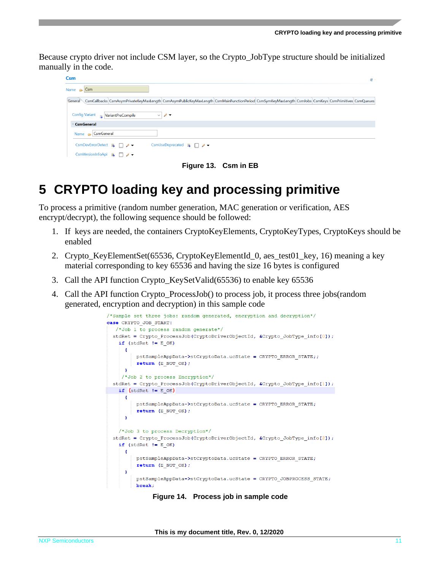Because crypto driver not include CSM layer, so the Crypto\_JobType structure should be initialized manually in the code.

| <b>Csm</b>                                                                                                                                                  |  |  | $^{\circ}$ |
|-------------------------------------------------------------------------------------------------------------------------------------------------------------|--|--|------------|
| Name $\bigoplus$ Csm                                                                                                                                        |  |  |            |
| General \CsmCallbacks CsmAsymPrivateKeyMaxLength CsmAsymPublicKeyMaxLength CsmMainFunctionPeriod CsmSymKeyMaxLength CsmJobs CsmKeys CsmPrimitives CsmQueues |  |  |            |
| Config Variant Revariant PreCompile<br>$\mathscr{O}$<br>$\checkmark$                                                                                        |  |  |            |
| CsmGeneral                                                                                                                                                  |  |  |            |
| Name $\approx$   CsmGeneral                                                                                                                                 |  |  |            |
| CsmUseDeprecated <b>B</b> 7<br>CsmDevErrorDetect $\mathbb{B}$ $\Box$ $\rightarrow$                                                                          |  |  |            |
| CsmVersionInfoApi & $\Box$ / $\blacktriangleright$                                                                                                          |  |  |            |

**Figure 13. Csm in EB**

### <span id="page-10-0"></span>**5 CRYPTO loading key and processing primitive**

To process a primitive (random number generation, MAC generation or verification, AES encrypt/decrypt), the following sequence should be followed:

- 1. If keys are needed, the containers CryptoKeyElements, CryptoKeyTypes, CryptoKeys should be enabled
- 2. Crypto KeyElementSet(65536, CryptoKeyElementId 0, aes test01 key, 16) meaning a key material corresponding to key 65536 and having the size 16 bytes is configured
- 3. Call the API function Crypto\_KeySetValid(65536) to enable key 65536
- 4. Call the API function Crypto\_ProcessJob() to process job, it process three jobs(random generated, encryption and decryption) in this sample code



**Figure 14. Process job in sample code**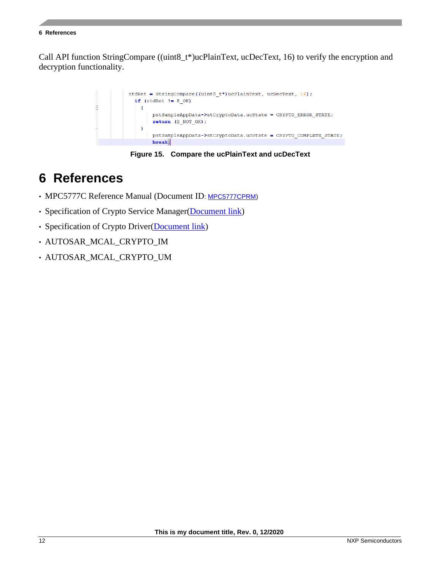#### **6 References**

Call API function StringCompare ((uint8\_t\*)ucPlainText, ucDecText, 16) to verify the encryption and decryption functionality.



**Figure 15. Compare the ucPlainText and ucDecText**

### <span id="page-11-0"></span>**6 References**

- MPC5777C Reference Manual (Document ID: [MPC5777CPRM\)](https://www.nxp.com/docs/en/reference-manual/MPC5777CRM.pdf)
- Specification of Crypto Service Manager[\(Document link\)](https://www.autosar.org/fileadmin/user_upload/standards/classic/4-3/AUTOSAR_SWS_CryptoServiceManager.pdf)
- Specification of Crypto Driver[\(Document link\)](https://www.autosar.org/fileadmin/user_upload/standards/classic/4-3/AUTOSAR_SWS_CryptoDriver.pdf)
- AUTOSAR\_MCAL\_CRYPTO\_IM
- AUTOSAR\_MCAL\_CRYPTO\_UM